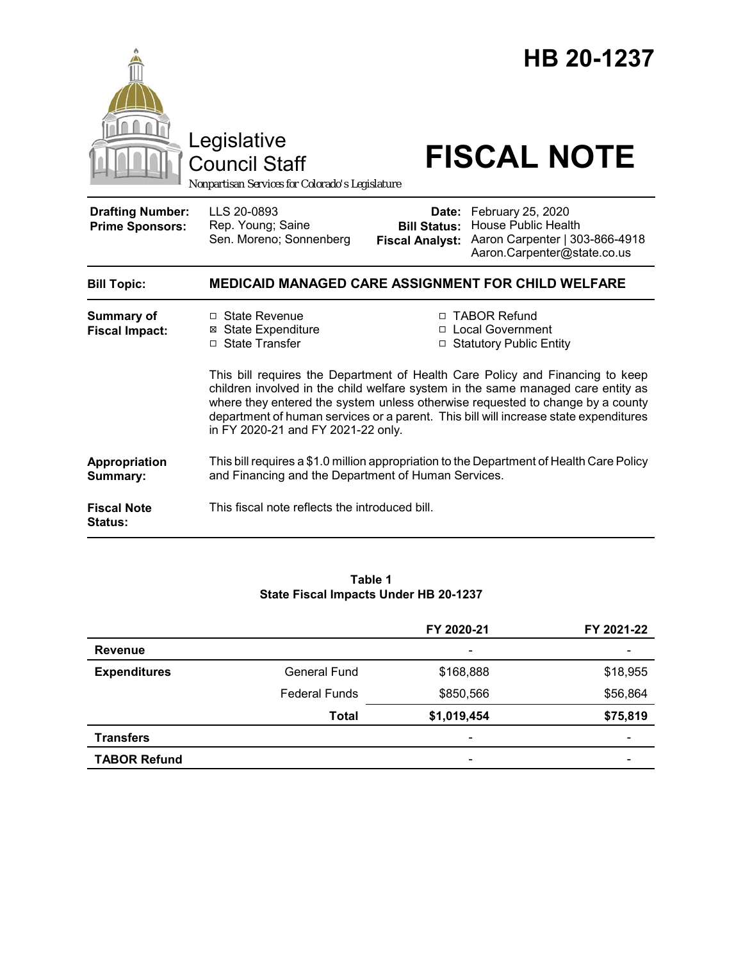

#### **Table 1 State Fiscal Impacts Under HB 20-1237**

|                     |                      | FY 2020-21               | FY 2021-22 |
|---------------------|----------------------|--------------------------|------------|
| <b>Revenue</b>      |                      | $\overline{\phantom{a}}$ |            |
| <b>Expenditures</b> | <b>General Fund</b>  | \$168,888                | \$18,955   |
|                     | <b>Federal Funds</b> | \$850,566                | \$56,864   |
|                     | <b>Total</b>         | \$1,019,454              | \$75,819   |
| <b>Transfers</b>    |                      | $\overline{\phantom{a}}$ |            |
| <b>TABOR Refund</b> |                      | $\overline{\phantom{a}}$ |            |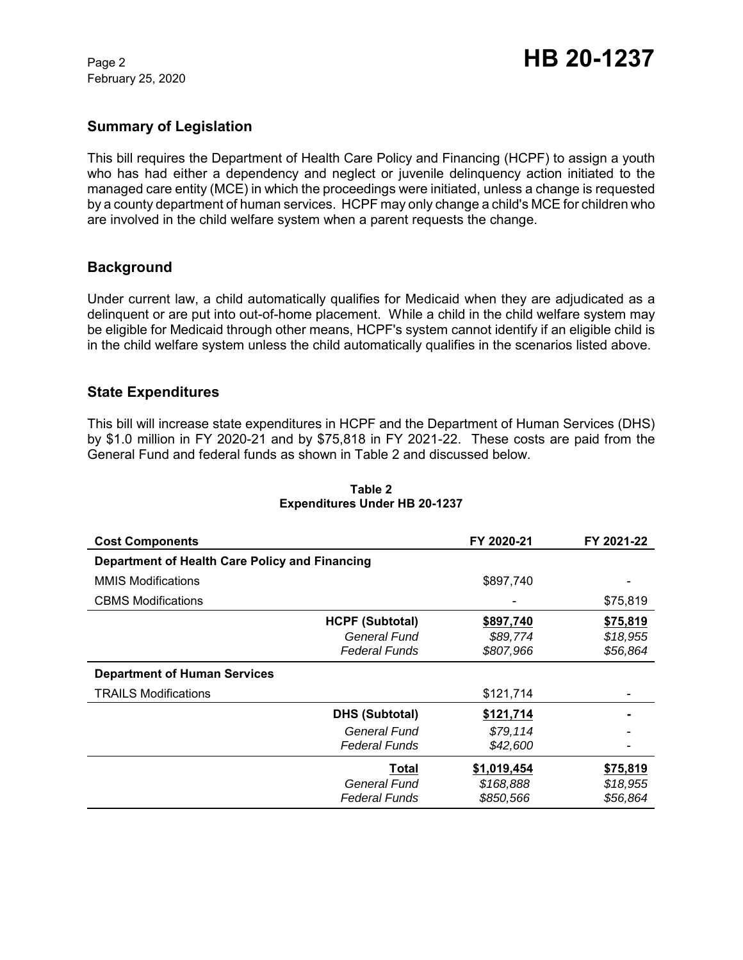February 25, 2020

## **Summary of Legislation**

This bill requires the Department of Health Care Policy and Financing (HCPF) to assign a youth who has had either a dependency and neglect or juvenile delinquency action initiated to the managed care entity (MCE) in which the proceedings were initiated, unless a change is requested by a county department of human services. HCPF may only change a child's MCE for children who are involved in the child welfare system when a parent requests the change.

## **Background**

Under current law, a child automatically qualifies for Medicaid when they are adjudicated as a delinquent or are put into out-of-home placement. While a child in the child welfare system may be eligible for Medicaid through other means, HCPF's system cannot identify if an eligible child is in the child welfare system unless the child automatically qualifies in the scenarios listed above.

### **State Expenditures**

This bill will increase state expenditures in HCPF and the Department of Human Services (DHS) by \$1.0 million in FY 2020-21 and by \$75,818 in FY 2021-22. These costs are paid from the General Fund and federal funds as shown in Table 2 and discussed below.

| <b>Cost Components</b>                         |                                                                | FY 2020-21                            | FY 2021-22                       |
|------------------------------------------------|----------------------------------------------------------------|---------------------------------------|----------------------------------|
| Department of Health Care Policy and Financing |                                                                |                                       |                                  |
| <b>MMIS Modifications</b>                      |                                                                | \$897,740                             |                                  |
| <b>CBMS Modifications</b>                      |                                                                |                                       | \$75,819                         |
|                                                | <b>HCPF (Subtotal)</b><br>General Fund<br><b>Federal Funds</b> | \$897,740<br>\$89,774<br>\$807,966    | \$75,819<br>\$18,955<br>\$56,864 |
| <b>Department of Human Services</b>            |                                                                |                                       |                                  |
| <b>TRAILS Modifications</b>                    |                                                                | \$121,714                             |                                  |
|                                                | <b>DHS (Subtotal)</b>                                          | \$121,714                             |                                  |
|                                                | General Fund<br><b>Federal Funds</b>                           | \$79,114<br>\$42,600                  |                                  |
|                                                | Total<br>General Fund<br><b>Federal Funds</b>                  | \$1,019,454<br>\$168,888<br>\$850,566 | \$75,819<br>\$18,955<br>\$56,864 |

### **Table 2 Expenditures Under HB 20-1237**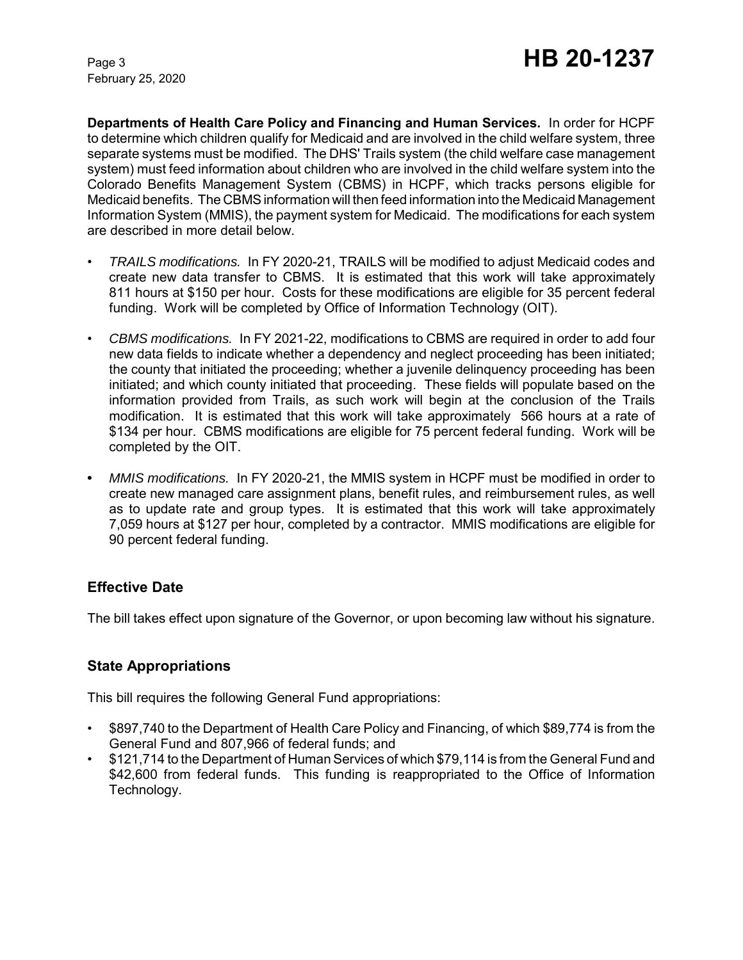February 25, 2020

**Departments of Health Care Policy and Financing and Human Services.** In order for HCPF to determine which children qualify for Medicaid and are involved in the child welfare system, three separate systems must be modified. The DHS' Trails system (the child welfare case management system) must feed information about children who are involved in the child welfare system into the Colorado Benefits Management System (CBMS) in HCPF, which tracks persons eligible for Medicaid benefits. The CBMS information will then feed information into the Medicaid Management Information System (MMIS), the payment system for Medicaid. The modifications for each system are described in more detail below.

- *TRAILS modifications.* In FY 2020-21, TRAILS will be modified to adjust Medicaid codes and create new data transfer to CBMS. It is estimated that this work will take approximately 811 hours at \$150 per hour. Costs for these modifications are eligible for 35 percent federal funding. Work will be completed by Office of Information Technology (OIT).
- *CBMS modifications.* In FY 2021-22, modifications to CBMS are required in order to add four new data fields to indicate whether a dependency and neglect proceeding has been initiated; the county that initiated the proceeding; whether a juvenile delinquency proceeding has been initiated; and which county initiated that proceeding. These fields will populate based on the information provided from Trails, as such work will begin at the conclusion of the Trails modification. It is estimated that this work will take approximately 566 hours at a rate of \$134 per hour. CBMS modifications are eligible for 75 percent federal funding. Work will be completed by the OIT.
- **•** *MMIS modifications.* In FY 2020-21, the MMIS system in HCPF must be modified in order to create new managed care assignment plans, benefit rules, and reimbursement rules, as well as to update rate and group types. It is estimated that this work will take approximately 7,059 hours at \$127 per hour, completed by a contractor. MMIS modifications are eligible for 90 percent federal funding.

# **Effective Date**

The bill takes effect upon signature of the Governor, or upon becoming law without his signature.

# **State Appropriations**

This bill requires the following General Fund appropriations:

- \$897,740 to the Department of Health Care Policy and Financing, of which \$89,774 is from the General Fund and 807,966 of federal funds; and
- \$121,714 to the Department of Human Services of which \$79,114 is from the General Fund and \$42,600 from federal funds. This funding is reappropriated to the Office of Information Technology.